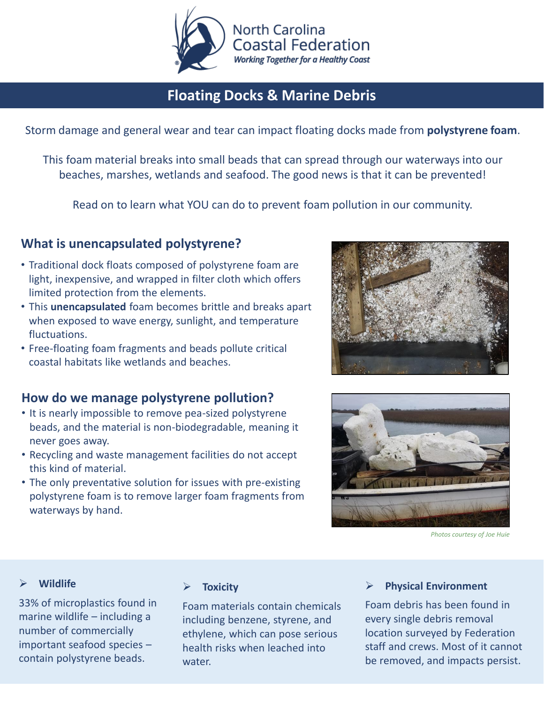

## **Floating Docks & Marine Debris**

Storm damage and general wear and tear can impact floating docks made from **polystyrene foam**.

This foam material breaks into small beads that can spread through our waterways into our beaches, marshes, wetlands and seafood. The good news is that it can be prevented!

Read on to learn what YOU can do to prevent foam pollution in our community.

### **What is unencapsulated polystyrene?**

- Traditional dock floats composed of polystyrene foam are light, inexpensive, and wrapped in filter cloth which offers limited protection from the elements.
- This **unencapsulated** foam becomes brittle and breaks apart when exposed to wave energy, sunlight, and temperature fluctuations.
- Free-floating foam fragments and beads pollute critical coastal habitats like wetlands and beaches.

### **How do we manage polystyrene pollution?**

- It is nearly impossible to remove pea-sized polystyrene beads, and the material is non-biodegradable, meaning it never goes away.
- Recycling and waste management facilities do not accept this kind of material.
- The only preventative solution for issues with pre-existing polystyrene foam is to remove larger foam fragments from waterways by hand.





*Photos courtesy of Joe Huie*

#### ➢ **Wildlife**

33% of microplastics found in marine wildlife – including a number of commercially important seafood species – contain polystyrene beads.

#### ➢ **Toxicity**

Foam materials contain chemicals including benzene, styrene, and ethylene, which can pose serious health risks when leached into water.

#### ➢ **Physical Environment**

Foam debris has been found in every single debris removal location surveyed by Federation staff and crews. Most of it cannot be removed, and impacts persist.